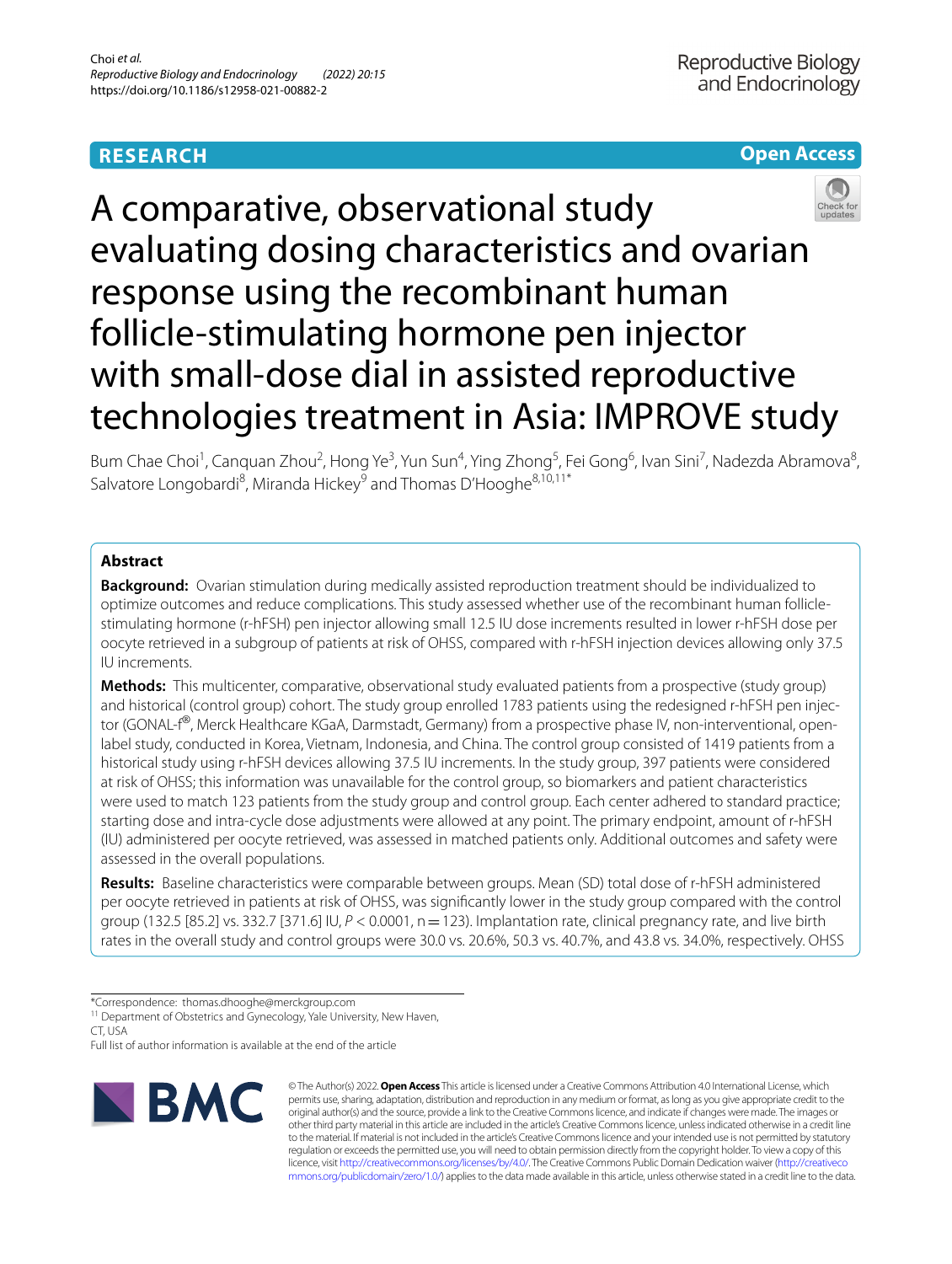# **RESEARCH**

# **Open Access**



A comparative, observational study evaluating dosing characteristics and ovarian response using the recombinant human follicle-stimulating hormone pen injector with small-dose dial in assisted reproductive technologies treatment in Asia: IMPROVE study

Bum Chae Choi<sup>1</sup>, Canquan Zhou<sup>2</sup>, Hong Ye<sup>3</sup>, Yun Sun<sup>4</sup>, Ying Zhong<sup>5</sup>, Fei Gong<sup>6</sup>, Ivan Sini<sup>7</sup>, Nadezda Abramova<sup>8</sup>, Salvatore Longobardi<sup>8</sup>, Miranda Hickey<sup>9</sup> and Thomas D'Hooghe<sup>8,10,11\*</sup>

# **Abstract**

**Background:** Ovarian stimulation during medically assisted reproduction treatment should be individualized to optimize outcomes and reduce complications. This study assessed whether use of the recombinant human folliclestimulating hormone (r-hFSH) pen injector allowing small 12.5 IU dose increments resulted in lower r-hFSH dose per oocyte retrieved in a subgroup of patients at risk of OHSS, compared with r-hFSH injection devices allowing only 37.5 IU increments.

**Methods:** This multicenter, comparative, observational study evaluated patients from a prospective (study group) and historical (control group) cohort. The study group enrolled 1783 patients using the redesigned r-hFSH pen injector (GONAL-f®, Merck Healthcare KGaA, Darmstadt, Germany) from a prospective phase IV, non-interventional, openlabel study, conducted in Korea, Vietnam, Indonesia, and China. The control group consisted of 1419 patients from a historical study using r-hFSH devices allowing 37.5 IU increments. In the study group, 397 patients were considered at risk of OHSS; this information was unavailable for the control group, so biomarkers and patient characteristics were used to match 123 patients from the study group and control group. Each center adhered to standard practice; starting dose and intra-cycle dose adjustments were allowed at any point. The primary endpoint, amount of r-hFSH (IU) administered per oocyte retrieved, was assessed in matched patients only. Additional outcomes and safety were assessed in the overall populations.

**Results:** Baseline characteristics were comparable between groups. Mean (SD) total dose of r-hFSH administered per oocyte retrieved in patients at risk of OHSS, was signifcantly lower in the study group compared with the control group (132.5 [85.2] vs. 332.7 [371.6] IU, *P* < 0.0001, n=123). Implantation rate, clinical pregnancy rate, and live birth rates in the overall study and control groups were 30.0 vs. 20.6%, 50.3 vs. 40.7%, and 43.8 vs. 34.0%, respectively. OHSS

Full list of author information is available at the end of the article



© The Author(s) 2022. **Open Access** This article is licensed under a Creative Commons Attribution 4.0 International License, which permits use, sharing, adaptation, distribution and reproduction in any medium or format, as long as you give appropriate credit to the original author(s) and the source, provide a link to the Creative Commons licence, and indicate if changes were made. The images or other third party material in this article are included in the article's Creative Commons licence, unless indicated otherwise in a credit line to the material. If material is not included in the article's Creative Commons licence and your intended use is not permitted by statutory regulation or exceeds the permitted use, you will need to obtain permission directly from the copyright holder. To view a copy of this licence, visit [http://creativecommons.org/licenses/by/4.0/.](http://creativecommons.org/licenses/by/4.0/) The Creative Commons Public Domain Dedication waiver ([http://creativeco](http://creativecommons.org/publicdomain/zero/1.0/) [mmons.org/publicdomain/zero/1.0/](http://creativecommons.org/publicdomain/zero/1.0/)) applies to the data made available in this article, unless otherwise stated in a credit line to the data.

<sup>\*</sup>Correspondence: thomas.dhooghe@merckgroup.com

<sup>&</sup>lt;sup>11</sup> Department of Obstetrics and Gynecology, Yale University, New Haven, CT, USA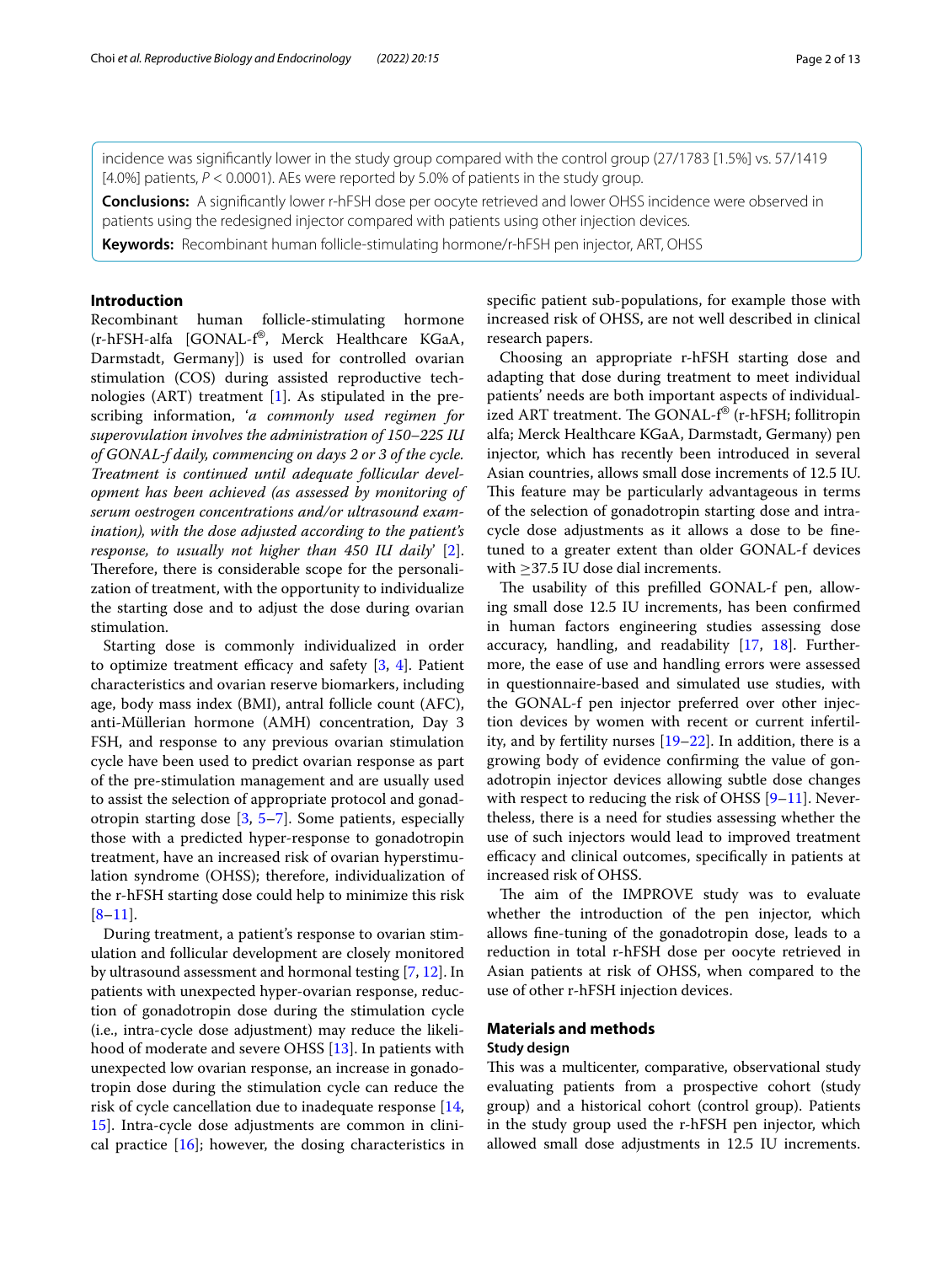incidence was signifcantly lower in the study group compared with the control group (27/1783 [1.5%] vs. 57/1419 [4.0%] patients,  $P < 0.0001$ ). AEs were reported by 5.0% of patients in the study group.

**Conclusions:** A signifcantly lower r-hFSH dose per oocyte retrieved and lower OHSS incidence were observed in patients using the redesigned injector compared with patients using other injection devices.

**Keywords:** Recombinant human follicle-stimulating hormone/r-hFSH pen injector, ART, OHSS

## **Introduction**

Recombinant human follicle-stimulating hormone (r-hFSH-alfa [GONAL-f®, Merck Healthcare KGaA, Darmstadt, Germany]) is used for controlled ovarian stimulation (COS) during assisted reproductive technologies (ART) treatment [[1\]](#page-12-0). As stipulated in the prescribing information, '*a commonly used regimen for superovulation involves the administration of 150–225 IU of GONAL-f daily, commencing on days 2 or 3 of the cycle. Treatment is continued until adequate follicular development has been achieved (as assessed by monitoring of serum oestrogen concentrations and/or ultrasound examination), with the dose adjusted according to the patient's response, to usually not higher than 450 IU daily*' [\[2](#page-12-1)]. Therefore, there is considerable scope for the personalization of treatment, with the opportunity to individualize the starting dose and to adjust the dose during ovarian stimulation.

Starting dose is commonly individualized in order to optimize treatment efficacy and safety  $[3, 4]$  $[3, 4]$  $[3, 4]$  $[3, 4]$ . Patient characteristics and ovarian reserve biomarkers, including age, body mass index (BMI), antral follicle count (AFC), anti-Müllerian hormone (AMH) concentration, Day 3 FSH, and response to any previous ovarian stimulation cycle have been used to predict ovarian response as part of the pre-stimulation management and are usually used to assist the selection of appropriate protocol and gonadotropin starting dose [\[3,](#page-12-2) [5](#page-12-4)[–7](#page-12-5)]. Some patients, especially those with a predicted hyper-response to gonadotropin treatment, have an increased risk of ovarian hyperstimulation syndrome (OHSS); therefore, individualization of the r-hFSH starting dose could help to minimize this risk  $[8-11]$  $[8-11]$ .

During treatment, a patient's response to ovarian stimulation and follicular development are closely monitored by ultrasound assessment and hormonal testing [\[7](#page-12-5), [12](#page-12-8)]. In patients with unexpected hyper-ovarian response, reduction of gonadotropin dose during the stimulation cycle (i.e., intra-cycle dose adjustment) may reduce the likelihood of moderate and severe OHSS [[13](#page-12-9)]. In patients with unexpected low ovarian response, an increase in gonadotropin dose during the stimulation cycle can reduce the risk of cycle cancellation due to inadequate response [\[14](#page-12-10), [15\]](#page-12-11). Intra-cycle dose adjustments are common in clinical practice  $[16]$  $[16]$ ; however, the dosing characteristics in specifc patient sub-populations, for example those with increased risk of OHSS, are not well described in clinical research papers.

Choosing an appropriate r-hFSH starting dose and adapting that dose during treatment to meet individual patients' needs are both important aspects of individualized ART treatment. The GONAL- $f^{\circledast}$  (r-hFSH; follitropin alfa; Merck Healthcare KGaA, Darmstadt, Germany) pen injector, which has recently been introduced in several Asian countries, allows small dose increments of 12.5 IU. This feature may be particularly advantageous in terms of the selection of gonadotropin starting dose and intracycle dose adjustments as it allows a dose to be fnetuned to a greater extent than older GONAL-f devices with  $\geq$ 37.5 IU dose dial increments.

The usability of this prefilled GONAL-f pen, allowing small dose 12.5 IU increments, has been confrmed in human factors engineering studies assessing dose accuracy, handling, and readability [[17](#page-12-13), [18](#page-12-14)]. Furthermore, the ease of use and handling errors were assessed in questionnaire-based and simulated use studies, with the GONAL-f pen injector preferred over other injection devices by women with recent or current infertility, and by fertility nurses  $[19-22]$  $[19-22]$ . In addition, there is a growing body of evidence confrming the value of gonadotropin injector devices allowing subtle dose changes with respect to reducing the risk of OHSS  $[9-11]$  $[9-11]$  $[9-11]$ . Nevertheless, there is a need for studies assessing whether the use of such injectors would lead to improved treatment efficacy and clinical outcomes, specifically in patients at increased risk of OHSS.

The aim of the IMPROVE study was to evaluate whether the introduction of the pen injector, which allows fne-tuning of the gonadotropin dose, leads to a reduction in total r-hFSH dose per oocyte retrieved in Asian patients at risk of OHSS, when compared to the use of other r-hFSH injection devices.

## **Materials and methods**

## **Study design**

This was a multicenter, comparative, observational study evaluating patients from a prospective cohort (study group) and a historical cohort (control group). Patients in the study group used the r-hFSH pen injector, which allowed small dose adjustments in 12.5 IU increments.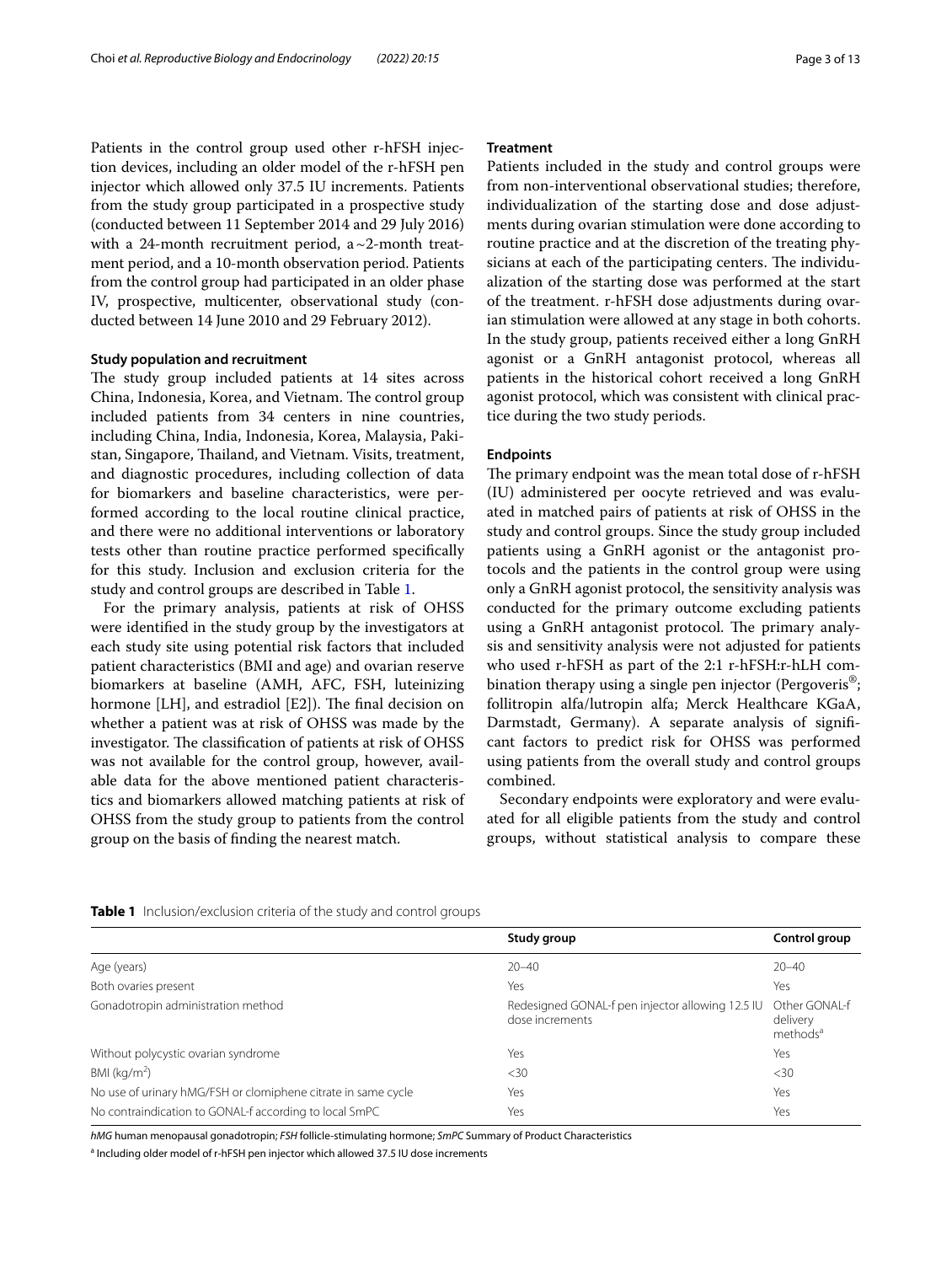Patients in the control group used other r-hFSH injection devices, including an older model of the r-hFSH pen injector which allowed only 37.5 IU increments. Patients from the study group participated in a prospective study (conducted between 11 September 2014 and 29 July 2016) with a 24-month recruitment period,  $a \sim 2$ -month treatment period, and a 10-month observation period. Patients from the control group had participated in an older phase IV, prospective, multicenter, observational study (conducted between 14 June 2010 and 29 February 2012).

#### **Study population and recruitment**

The study group included patients at 14 sites across China, Indonesia, Korea, and Vietnam. The control group included patients from 34 centers in nine countries, including China, India, Indonesia, Korea, Malaysia, Pakistan, Singapore, Thailand, and Vietnam. Visits, treatment, and diagnostic procedures, including collection of data for biomarkers and baseline characteristics, were performed according to the local routine clinical practice, and there were no additional interventions or laboratory tests other than routine practice performed specifcally for this study. Inclusion and exclusion criteria for the study and control groups are described in Table [1.](#page-2-0)

For the primary analysis, patients at risk of OHSS were identifed in the study group by the investigators at each study site using potential risk factors that included patient characteristics (BMI and age) and ovarian reserve biomarkers at baseline (AMH, AFC, FSH, luteinizing hormone [LH], and estradiol [E2]). The final decision on whether a patient was at risk of OHSS was made by the investigator. The classification of patients at risk of OHSS was not available for the control group, however, available data for the above mentioned patient characteristics and biomarkers allowed matching patients at risk of OHSS from the study group to patients from the control group on the basis of fnding the nearest match.

Patients included in the study and control groups were from non-interventional observational studies; therefore, individualization of the starting dose and dose adjustments during ovarian stimulation were done according to routine practice and at the discretion of the treating physicians at each of the participating centers. The individualization of the starting dose was performed at the start of the treatment. r-hFSH dose adjustments during ovarian stimulation were allowed at any stage in both cohorts. In the study group, patients received either a long GnRH agonist or a GnRH antagonist protocol, whereas all patients in the historical cohort received a long GnRH agonist protocol, which was consistent with clinical practice during the two study periods.

#### **Endpoints**

The primary endpoint was the mean total dose of r-hFSH (IU) administered per oocyte retrieved and was evaluated in matched pairs of patients at risk of OHSS in the study and control groups. Since the study group included patients using a GnRH agonist or the antagonist protocols and the patients in the control group were using only a GnRH agonist protocol, the sensitivity analysis was conducted for the primary outcome excluding patients using a GnRH antagonist protocol. The primary analysis and sensitivity analysis were not adjusted for patients who used r-hFSH as part of the 2:1 r-hFSH:r-hLH combination therapy using a single pen injector (Pergoveris<sup>®</sup>; follitropin alfa/lutropin alfa; Merck Healthcare KGaA, Darmstadt, Germany). A separate analysis of signifcant factors to predict risk for OHSS was performed using patients from the overall study and control groups combined.

Secondary endpoints were exploratory and were evaluated for all eligible patients from the study and control groups, without statistical analysis to compare these

|                                                               | Study group                                                         | Control group                                     |
|---------------------------------------------------------------|---------------------------------------------------------------------|---------------------------------------------------|
| Age (years)                                                   | $20 - 40$                                                           | $20 - 40$                                         |
| Both ovaries present                                          | Yes                                                                 | Yes                                               |
| Gonadotropin administration method                            | Redesigned GONAL-f pen injector allowing 12.5 IU<br>dose increments | Other GONAL-f<br>delivery<br>methods <sup>a</sup> |
| Without polycystic ovarian syndrome                           | Yes                                                                 | Yes                                               |
| BMI ( $\text{kg/m}^2$ )                                       | $<$ 30                                                              | <30                                               |
| No use of urinary hMG/FSH or clomiphene citrate in same cycle | Yes                                                                 | Yes                                               |
| No contraindication to GONAL-f according to local SmPC        | Yes                                                                 | Yes                                               |
|                                                               |                                                                     |                                                   |

<span id="page-2-0"></span>**Table 1** Inclusion/exclusion criteria of the study and control groups

*hMG* human menopausal gonadotropin; *FSH* follicle-stimulating hormone; *SmPC* Summary of Product Characteristics

<sup>a</sup> Including older model of r-hFSH pen injector which allowed 37.5 IU dose increments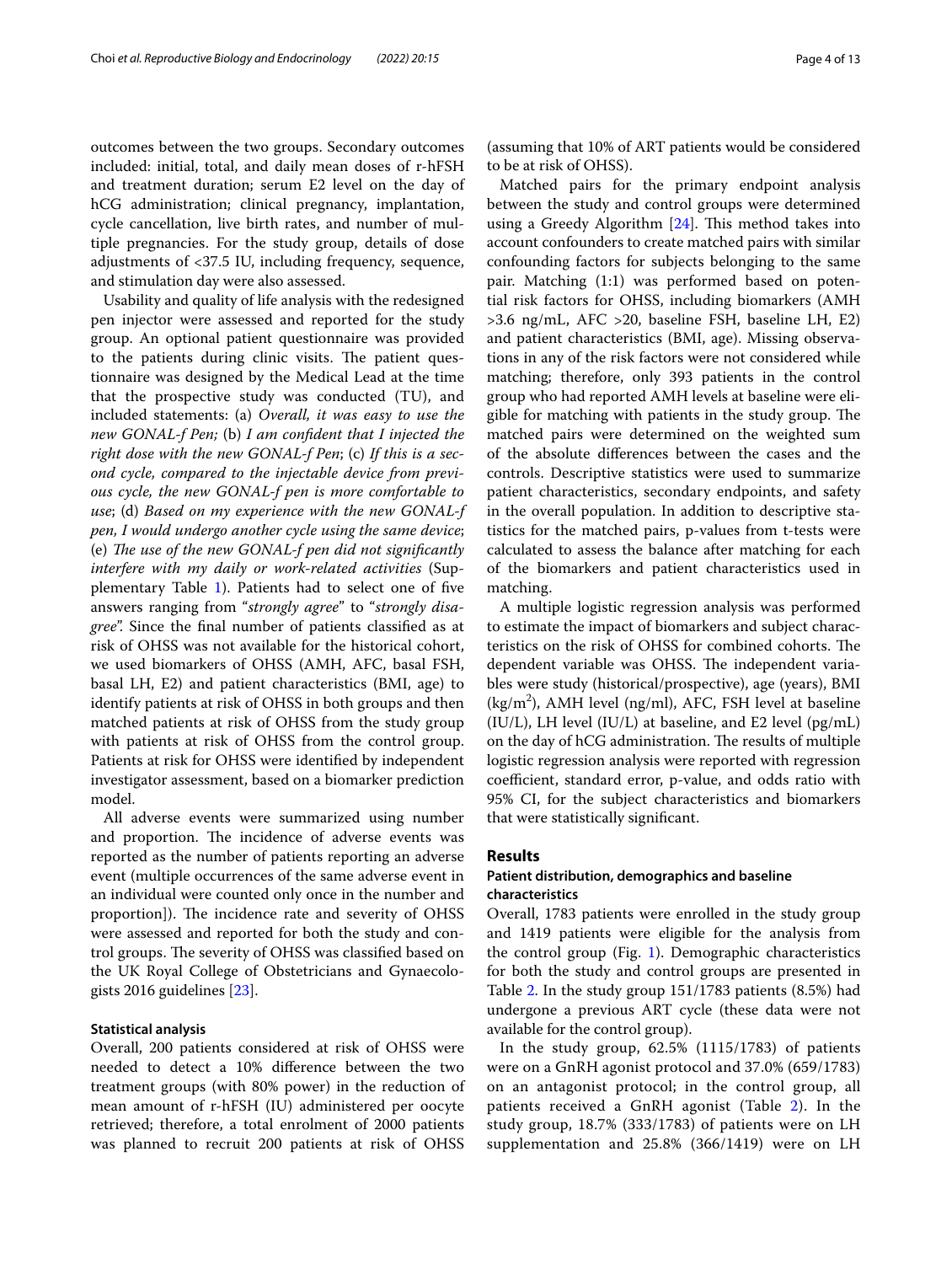outcomes between the two groups. Secondary outcomes included: initial, total, and daily mean doses of r-hFSH and treatment duration; serum E2 level on the day of hCG administration; clinical pregnancy, implantation, cycle cancellation, live birth rates, and number of multiple pregnancies. For the study group, details of dose adjustments of <37.5 IU, including frequency, sequence, and stimulation day were also assessed.

Usability and quality of life analysis with the redesigned pen injector were assessed and reported for the study group. An optional patient questionnaire was provided to the patients during clinic visits. The patient questionnaire was designed by the Medical Lead at the time that the prospective study was conducted (TU), and included statements: (a) *Overall, it was easy to use the new GONAL-f Pen;* (b) *I am confdent that I injected the right dose with the new GONAL-f Pen*; (c) *If this is a second cycle, compared to the injectable device from previous cycle, the new GONAL-f pen is more comfortable to use*; (d) *Based on my experience with the new GONAL-f pen, I would undergo another cycle using the same device*; (e) The use of the new GONAL-f pen did not significantly *interfere with my daily or work-related activities* (Supplementary Table [1\)](#page-11-0). Patients had to select one of fve answers ranging from "*strongly agree*" to "*strongly disagree*". Since the fnal number of patients classifed as at risk of OHSS was not available for the historical cohort, we used biomarkers of OHSS (AMH, AFC, basal FSH, basal LH, E2) and patient characteristics (BMI, age) to identify patients at risk of OHSS in both groups and then matched patients at risk of OHSS from the study group with patients at risk of OHSS from the control group. Patients at risk for OHSS were identifed by independent investigator assessment, based on a biomarker prediction model.

All adverse events were summarized using number and proportion. The incidence of adverse events was reported as the number of patients reporting an adverse event (multiple occurrences of the same adverse event in an individual were counted only once in the number and proportion]). The incidence rate and severity of OHSS were assessed and reported for both the study and control groups. The severity of OHSS was classified based on the UK Royal College of Obstetricians and Gynaecologists 2016 guidelines [\[23](#page-12-18)].

## **Statistical analysis**

Overall, 200 patients considered at risk of OHSS were needed to detect a 10% diference between the two treatment groups (with 80% power) in the reduction of mean amount of r-hFSH (IU) administered per oocyte retrieved; therefore, a total enrolment of 2000 patients was planned to recruit 200 patients at risk of OHSS

(assuming that 10% of ART patients would be considered to be at risk of OHSS).

Matched pairs for the primary endpoint analysis between the study and control groups were determined using a Greedy Algorithm [[24\]](#page-12-19). This method takes into account confounders to create matched pairs with similar confounding factors for subjects belonging to the same pair. Matching (1:1) was performed based on potential risk factors for OHSS, including biomarkers (AMH >3.6 ng/mL, AFC >20, baseline FSH, baseline LH, E2) and patient characteristics (BMI, age). Missing observations in any of the risk factors were not considered while matching; therefore, only 393 patients in the control group who had reported AMH levels at baseline were eligible for matching with patients in the study group. The matched pairs were determined on the weighted sum of the absolute diferences between the cases and the controls. Descriptive statistics were used to summarize patient characteristics, secondary endpoints, and safety in the overall population. In addition to descriptive statistics for the matched pairs, p-values from t-tests were calculated to assess the balance after matching for each of the biomarkers and patient characteristics used in matching.

A multiple logistic regression analysis was performed to estimate the impact of biomarkers and subject characteristics on the risk of OHSS for combined cohorts. The dependent variable was OHSS. The independent variables were study (historical/prospective), age (years), BMI  $(kg/m<sup>2</sup>)$ , AMH level (ng/ml), AFC, FSH level at baseline (IU/L), LH level (IU/L) at baseline, and E2 level (pg/mL) on the day of hCG administration. The results of multiple logistic regression analysis were reported with regression coefficient, standard error, p-value, and odds ratio with 95% CI, for the subject characteristics and biomarkers that were statistically signifcant.

## **Results**

## **Patient distribution, demographics and baseline characteristics**

Overall, 1783 patients were enrolled in the study group and 1419 patients were eligible for the analysis from the control group (Fig. [1](#page-5-0)). Demographic characteristics for both the study and control groups are presented in Table [2.](#page-4-0) In the study group 151/1783 patients (8.5%) had undergone a previous ART cycle (these data were not available for the control group).

In the study group,  $62.5\%$  (1115/1783) of patients were on a GnRH agonist protocol and 37.0% (659/1783) on an antagonist protocol; in the control group, all patients received a GnRH agonist (Table [2\)](#page-4-0). In the study group, 18.7% (333/1783) of patients were on LH supplementation and 25.8% (366/1419) were on LH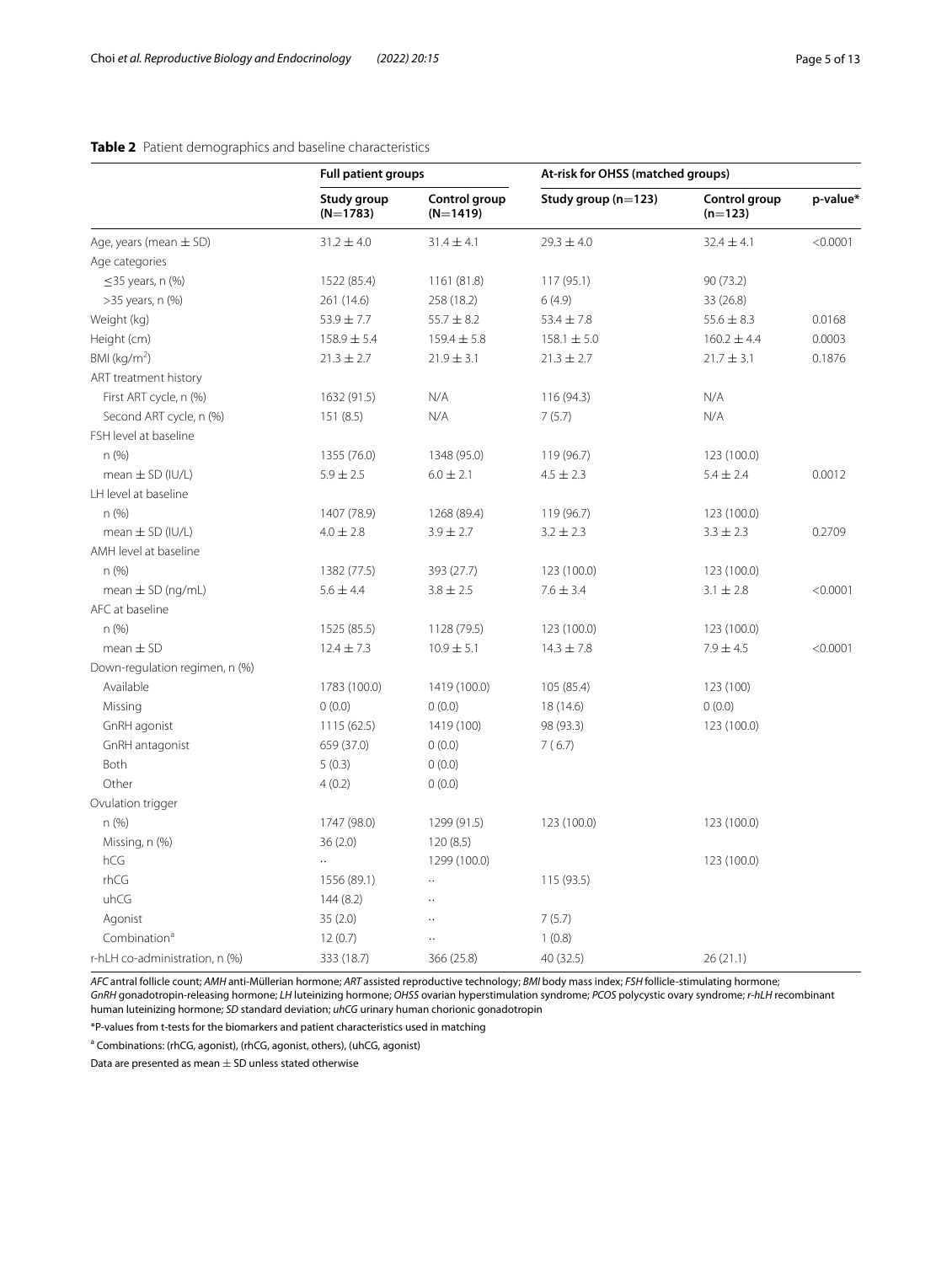## <span id="page-4-0"></span>**Table 2** Patient demographics and baseline characteristics

|                                | <b>Full patient groups</b> |                             | At-risk for OHSS (matched groups) |                            |          |
|--------------------------------|----------------------------|-----------------------------|-----------------------------------|----------------------------|----------|
|                                | Study group<br>$(N=1783)$  | Control group<br>$(N=1419)$ | Study group $(n=123)$             | Control group<br>$(n=123)$ | p-value* |
| Age, years (mean $\pm$ SD)     | $31.2 \pm 4.0$             | $31.4 \pm 4.1$              | $29.3 \pm 4.0$                    | $32.4 \pm 4.1$             | < 0.0001 |
| Age categories                 |                            |                             |                                   |                            |          |
| $\leq$ 35 years, n (%)         | 1522 (85.4)                | 1161 (81.8)                 | 117 (95.1)                        | 90 (73.2)                  |          |
| >35 years, n (%)               | 261 (14.6)                 | 258 (18.2)                  | 6(4.9)                            | 33 (26.8)                  |          |
| Weight (kg)                    | $53.9 \pm 7.7$             | $55.7 \pm 8.2$              | $53.4 \pm 7.8$                    | $55.6 \pm 8.3$             | 0.0168   |
| Height (cm)                    | $158.9 \pm 5.4$            | $159.4 \pm 5.8$             | $158.1 \pm 5.0$                   | $160.2 \pm 4.4$            | 0.0003   |
| BMI ( $kg/m2$ )                | $21.3 \pm 2.7$             | $21.9 \pm 3.1$              | $21.3 \pm 2.7$                    | $21.7 \pm 3.1$             | 0.1876   |
| ART treatment history          |                            |                             |                                   |                            |          |
| First ART cycle, n (%)         | 1632 (91.5)                | N/A                         | 116 (94.3)                        | N/A                        |          |
| Second ART cycle, n (%)        | 151(8.5)                   | N/A                         | 7(5.7)                            | N/A                        |          |
| FSH level at baseline          |                            |                             |                                   |                            |          |
| n(%)                           | 1355 (76.0)                | 1348 (95.0)                 | 119 (96.7)                        | 123 (100.0)                |          |
| mean $\pm$ SD (IU/L)           | $5.9 \pm 2.5$              | $6.0 \pm 2.1$               | $4.5 \pm 2.3$                     | $5.4 \pm 2.4$              | 0.0012   |
| LH level at baseline           |                            |                             |                                   |                            |          |
| n (%)                          | 1407 (78.9)                | 1268 (89.4)                 | 119 (96.7)                        | 123 (100.0)                |          |
| mean $\pm$ SD (IU/L)           | $4.0 \pm 2.8$              | $3.9 \pm 2.7$               | $3.2 \pm 2.3$                     | $3.3 \pm 2.3$              | 0.2709   |
| AMH level at baseline          |                            |                             |                                   |                            |          |
| n(%)                           | 1382 (77.5)                | 393 (27.7)                  | 123 (100.0)                       | 123 (100.0)                |          |
| mean $\pm$ SD (ng/mL)          | $5.6 \pm 4.4$              | $3.8 \pm 2.5$               | $7.6 \pm 3.4$                     | $3.1 \pm 2.8$              | < 0.0001 |
| AFC at baseline                |                            |                             |                                   |                            |          |
| n(%)                           | 1525 (85.5)                | 1128 (79.5)                 | 123 (100.0)                       | 123 (100.0)                |          |
| $mean \pm SD$                  | $12.4 \pm 7.3$             | $10.9 \pm 5.1$              | $14.3 \pm 7.8$                    | $7.9 \pm 4.5$              | < 0.0001 |
| Down-regulation regimen, n (%) |                            |                             |                                   |                            |          |
| Available                      | 1783 (100.0)               | 1419 (100.0)                | 105 (85.4)                        | 123 (100)                  |          |
| Missing                        | 0(0.0)                     | 0(0.0)                      | 18 (14.6)                         | 0(0.0)                     |          |
| GnRH agonist                   | 1115(62.5)                 | 1419 (100)                  | 98 (93.3)                         | 123 (100.0)                |          |
| GnRH antagonist                | 659 (37.0)                 | 0(0.0)                      | 7(6.7)                            |                            |          |
| Both                           | 5(0.3)                     | 0(0.0)                      |                                   |                            |          |
| Other                          | 4(0.2)                     | 0(0.0)                      |                                   |                            |          |
| Ovulation trigger              |                            |                             |                                   |                            |          |
| n(%)                           | 1747 (98.0)                | 1299 (91.5)                 | 123 (100.0)                       | 123 (100.0)                |          |
| Missing, n (%)                 | 36(2.0)                    | 120(8.5)                    |                                   |                            |          |
| hCG                            | ò.                         | 1299 (100.0)                |                                   | 123 (100.0)                |          |
| rhCG                           | 1556 (89.1)                | $\ddotsc$                   | 115 (93.5)                        |                            |          |
| uhCG                           | 144(8.2)                   | $\ddot{\phantom{a}}$        |                                   |                            |          |
| Agonist                        | 35(2.0)                    | $\ddot{\phantom{a}}$        | 7(5.7)                            |                            |          |
| Combination <sup>a</sup>       | 12(0.7)                    | $\ddotsc$                   | 1(0.8)                            |                            |          |
| r-hLH co-administration, n (%) | 333 (18.7)                 | 366 (25.8)                  | 40 (32.5)                         | 26(21.1)                   |          |

*AFC* antral follicle count; *AMH* anti-Müllerian hormone; *ART* assisted reproductive technology; *BMI* body mass index; *FSH* follicle-stimulating hormone; *GnRH* gonadotropin-releasing hormone; *LH* luteinizing hormone; *OHSS* ovarian hyperstimulation syndrome; *PCOS* polycystic ovary syndrome; *r-hLH* recombinant human luteinizing hormone; *SD* standard deviation; *uhCG* urinary human chorionic gonadotropin

\*P-values from t-tests for the biomarkers and patient characteristics used in matching

<sup>a</sup> Combinations: (rhCG, agonist), (rhCG, agonist, others), (uhCG, agonist)

Data are presented as mean  $\pm$  SD unless stated otherwise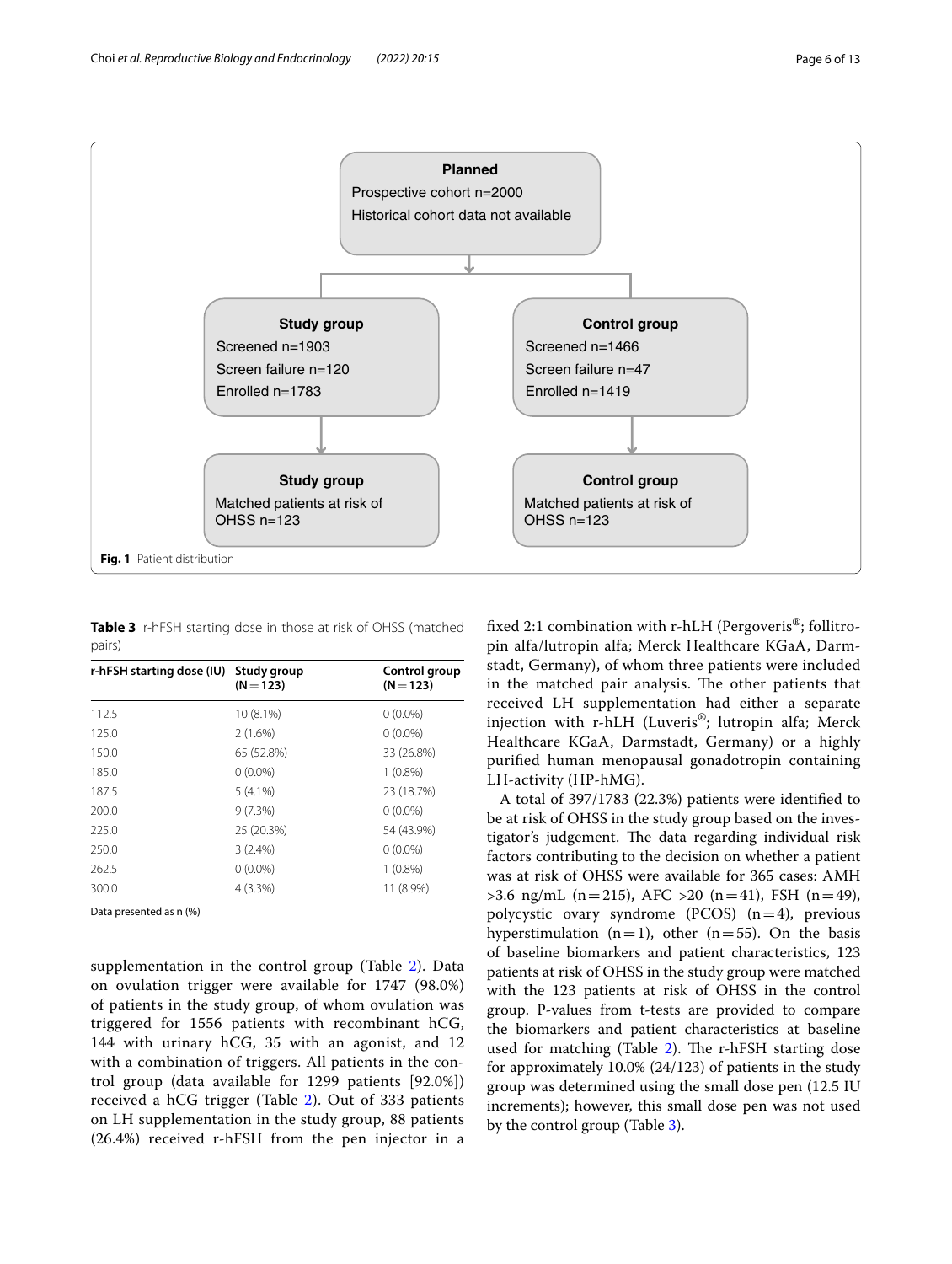

<span id="page-5-1"></span><span id="page-5-0"></span>**Table 3** r-hFSH starting dose in those at risk of OHSS (matched pairs)

| r-hFSH starting dose (IU) Study group | $(N = 123)$ | Control group<br>$(N = 123)$ |
|---------------------------------------|-------------|------------------------------|
| 112.5                                 | 10 (8.1%)   | $0(0.0\%)$                   |
| 125.0                                 | 2(1.6%)     | $0(0.0\%)$                   |
| 150.0                                 | 65 (52.8%)  | 33 (26.8%)                   |
| 185.0                                 | $0(0.0\%)$  | $1(0.8\%)$                   |
| 187.5                                 | $5(4.1\%)$  | 23 (18.7%)                   |
| 200.0                                 | 9(7.3%)     | $0(0.0\%)$                   |
| 225.0                                 | 25 (20.3%)  | 54 (43.9%)                   |
| 250.0                                 | 3(2.4%)     | $0(0.0\%)$                   |
| 262.5                                 | $0(0.0\%)$  | $1(0.8\%)$                   |
| 300.0                                 | $4(3.3\%)$  | 11 (8.9%)                    |

Data presented as n (%)

supplementation in the control group (Table [2\)](#page-4-0). Data on ovulation trigger were available for 1747 (98.0%) of patients in the study group, of whom ovulation was triggered for 1556 patients with recombinant hCG, 144 with urinary hCG, 35 with an agonist, and 12 with a combination of triggers. All patients in the control group (data available for 1299 patients [92.0%]) received a hCG trigger (Table [2\)](#page-4-0). Out of 333 patients on LH supplementation in the study group, 88 patients (26.4%) received r-hFSH from the pen injector in a fxed 2:1 combination with r-hLH (Pergoveris®; follitropin alfa/lutropin alfa; Merck Healthcare KGaA, Darmstadt, Germany), of whom three patients were included in the matched pair analysis. The other patients that received LH supplementation had either a separate injection with r-hLH (Luveris®; lutropin alfa; Merck Healthcare KGaA, Darmstadt, Germany) or a highly purifed human menopausal gonadotropin containing LH-activity (HP-hMG).

A total of 397/1783 (22.3%) patients were identifed to be at risk of OHSS in the study group based on the investigator's judgement. The data regarding individual risk factors contributing to the decision on whether a patient was at risk of OHSS were available for 365 cases: AMH  $>3.6$  ng/mL (n=215), AFC  $>20$  (n=41), FSH (n=49), polycystic ovary syndrome (PCOS)  $(n=4)$ , previous hyperstimulation  $(n=1)$ , other  $(n=55)$ . On the basis of baseline biomarkers and patient characteristics, 123 patients at risk of OHSS in the study group were matched with the 123 patients at risk of OHSS in the control group. P-values from t-tests are provided to compare the biomarkers and patient characteristics at baseline used for matching (Table  $2$ ). The r-hFSH starting dose for approximately 10.0% (24/123) of patients in the study group was determined using the small dose pen (12.5 IU increments); however, this small dose pen was not used by the control group (Table [3](#page-5-1)).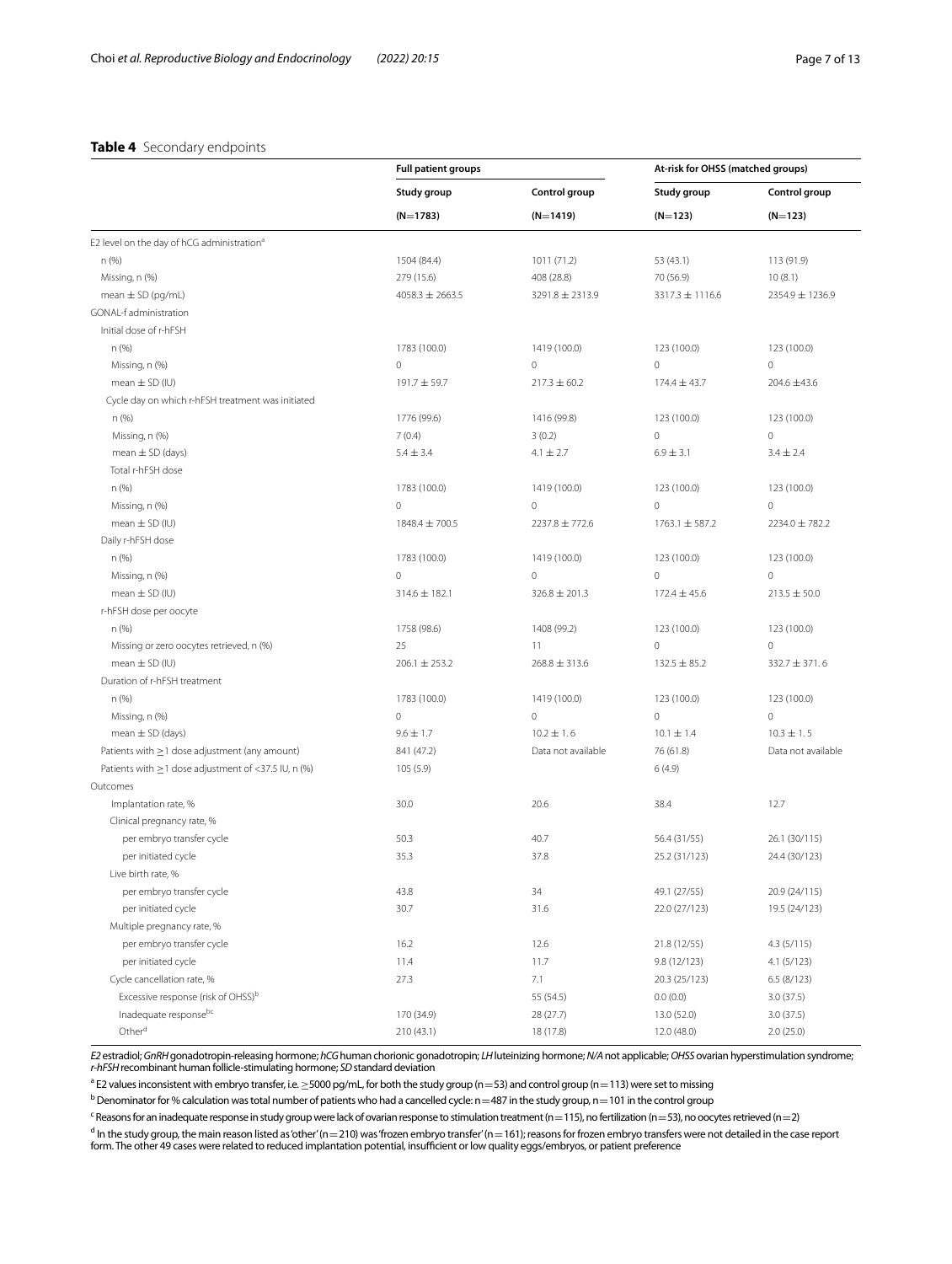#### <span id="page-6-0"></span>**Table 4** Secondary endpoints

|                                                        | <b>Full patient groups</b> |                     | At-risk for OHSS (matched groups) |                    |
|--------------------------------------------------------|----------------------------|---------------------|-----------------------------------|--------------------|
|                                                        | Study group                | Control group       | Study group                       | Control group      |
|                                                        | $(N=1783)$                 | $(N=1419)$          | $(N=123)$                         | $(N=123)$          |
| E2 level on the day of hCG administration <sup>a</sup> |                            |                     |                                   |                    |
| n (%)                                                  | 1504 (84.4)                | 1011 (71.2)         | 53 (43.1)                         | 113 (91.9)         |
| Missing, n (%)                                         | 279 (15.6)                 | 408 (28.8)          | 70 (56.9)                         | 10(8.1)            |
| mean $\pm$ SD (pg/mL)                                  | $4058.3 \pm 2663.5$        | $3291.8 \pm 2313.9$ | 3317.3 ± 1116.6                   | 2354.9 ± 1236.9    |
| GONAL-f administration                                 |                            |                     |                                   |                    |
| Initial dose of r-hFSH                                 |                            |                     |                                   |                    |
| n (%)                                                  | 1783 (100.0)               | 1419 (100.0)        | 123 (100.0)                       | 123 (100.0)        |
| Missing, n (%)                                         | $\mathbf 0$                | $\mathbf 0$         | $\mathbf 0$                       | $\mathbf 0$        |
| mean $\pm$ SD (IU)                                     | 191.7 ± 59.7               | $217.3 \pm 60.2$    | $174.4 \pm 43.7$                  | 204.6 ±43.6        |
| Cycle day on which r-hFSH treatment was initiated      |                            |                     |                                   |                    |
| n (%)                                                  | 1776 (99.6)                | 1416 (99.8)         | 123 (100.0)                       | 123 (100.0)        |
| Missing, n (%)                                         | 7(0.4)                     | 3(0.2)              | $\mathbf{0}$                      | 0                  |
| mean $\pm$ SD (days)                                   | $5.4 \pm 3.4$              | $4.1 \pm 2.7$       | $6.9 \pm 3.1$                     | $3.4 \pm 2.4$      |
| Total r-hFSH dose                                      |                            |                     |                                   |                    |
| n (%)                                                  | 1783 (100.0)               | 1419 (100.0)        | 123 (100.0)                       | 123 (100.0)        |
| Missing, n (%)                                         | $\circ$                    | $\mathbf{0}$        | $\mathbf{0}$                      | $\mathbf 0$        |
| mean $\pm$ SD (IU)                                     | 1848.4 ± 700.5             | 2237.8 ± 772.6      | $1763.1 \pm 587.2$                | 2234.0 ± 782.2     |
| Daily r-hFSH dose                                      |                            |                     |                                   |                    |
| n (%)                                                  | 1783 (100.0)               | 1419 (100.0)        | 123 (100.0)                       | 123 (100.0)        |
| Missing, n (%)                                         | $\mathbf 0$                | $\mathbf 0$         | $\mathbf 0$                       | $\mathbf 0$        |
| mean $\pm$ SD (IU)                                     | 314.6 ± 182.1              | $326.8 \pm 201.3$   | $172.4 \pm 45.6$                  | $213.5 \pm 50.0$   |
| r-hFSH dose per oocyte                                 |                            |                     |                                   |                    |
| n (%)                                                  | 1758 (98.6)                | 1408 (99.2)         | 123 (100.0)                       | 123 (100.0)        |
| Missing or zero oocytes retrieved, n (%)               | 25                         | 11                  | $\mathbf{0}$                      | $\circ$            |
| mean $\pm$ SD (IU)                                     | $206.1 \pm 253.2$          | $268.8 \pm 313.6$   | $132.5 \pm 85.2$                  | $332.7 \pm 371.6$  |
| Duration of r-hFSH treatment                           |                            |                     |                                   |                    |
| n (%)                                                  | 1783 (100.0)               | 1419 (100.0)        | 123 (100.0)                       | 123 (100.0)        |
| Missing, n (%)                                         | $\mathbf 0$                | $\mathbf{0}$        | $\mathbf 0$                       | $\mathbf 0$        |
| mean $\pm$ SD (days)                                   | $9.6 \pm 1.7$              | $10.2 \pm 1.6$      | $10.1 \pm 1.4$                    | $10.3 \pm 1.5$     |
| Patients with $\geq$ 1 dose adjustment (any amount)    | 841 (47.2)                 | Data not available  | 76 (61.8)                         | Data not available |
| Patients with ≥1 dose adjustment of <37.5 IU, n (%)    | 105 (5.9)                  |                     | 6(4.9)                            |                    |
| Outcomes                                               |                            |                     |                                   |                    |
| Implantation rate, %                                   | 30.0                       | 20.6                | 38.4                              | 12.7               |
| Clinical pregnancy rate, %                             |                            |                     |                                   |                    |
| per embryo transfer cycle                              | 50.3                       | 40.7                | 56.4 (31/55)                      | 26.1 (30/115)      |
| per initiated cycle                                    | 35.3                       | 37.8                | 25.2 (31/123)                     | 24.4 (30/123)      |
| Live birth rate, %                                     |                            |                     |                                   |                    |
| per embryo transfer cycle                              | 43.8                       | 34                  | 49.1 (27/55)                      | 20.9 (24/115)      |
| per initiated cycle                                    | 30.7                       | 31.6                | 22.0 (27/123)                     | 19.5 (24/123)      |
| Multiple pregnancy rate, %                             |                            |                     |                                   |                    |
| per embryo transfer cycle                              | 16.2                       | 12.6                | 21.8 (12/55)                      | 4.3(5/115)         |
| per initiated cycle                                    | 11.4                       | 11.7                | 9.8 (12/123)                      | 4.1 (5/123)        |
| Cycle cancellation rate, %                             | 27.3                       | 7.1                 | 20.3 (25/123)                     | 6.5(8/123)         |
| Excessive response (risk of OHSS) <sup>b</sup>         |                            | 55 (54.5)           | 0.0(0.0)                          | 3.0(37.5)          |
| Inadequate responsebe                                  | 170 (34.9)                 | 28 (27.7)           | 13.0 (52.0)                       | 3.0(37.5)          |
| Other <sup>d</sup>                                     | 210 (43.1)                 | 18 (17.8)           | 12.0 (48.0)                       | 2.0(25.0)          |

*E2* estradiol; GnRH gonadotropin-releasing hormone; hCG human chorionic gonadotropin; LH luteinizing hormone; N/A not applicable; OHSS ovarian hyperstimulation syndrome;<br>*r-hFSH* recombinant human follicle-stimulating hor

 $^{\circ}$  E2 values inconsistent with embryo transfer, i.e.  $\geq$ 5000 pg/mL, for both the study group (n $=$ 53) and control group (n $=$  113) were set to missing

 $^{\rm b}$  Denominator for % calculation was total number of patients who had a cancelled cycle: n=487 in the study group, n=101 in the control group

 $\epsilon$  Reasons for an inadequate response in study group were lack of ovarian response to stimulation treatment (n=115), no fertilization (n=53), no oocytes retrieved (n=2)

 $\frac{d}{d}$  in the study group, the main reason listed as 'other' (n=210) was 'frozen embryo transfer' (n= 161); reasons for frozen embryo transfers were not detailed in the case report form. The other 49 cases were related to reduced implantation potential, insufficient or low quality eggs/embryos, or patient preference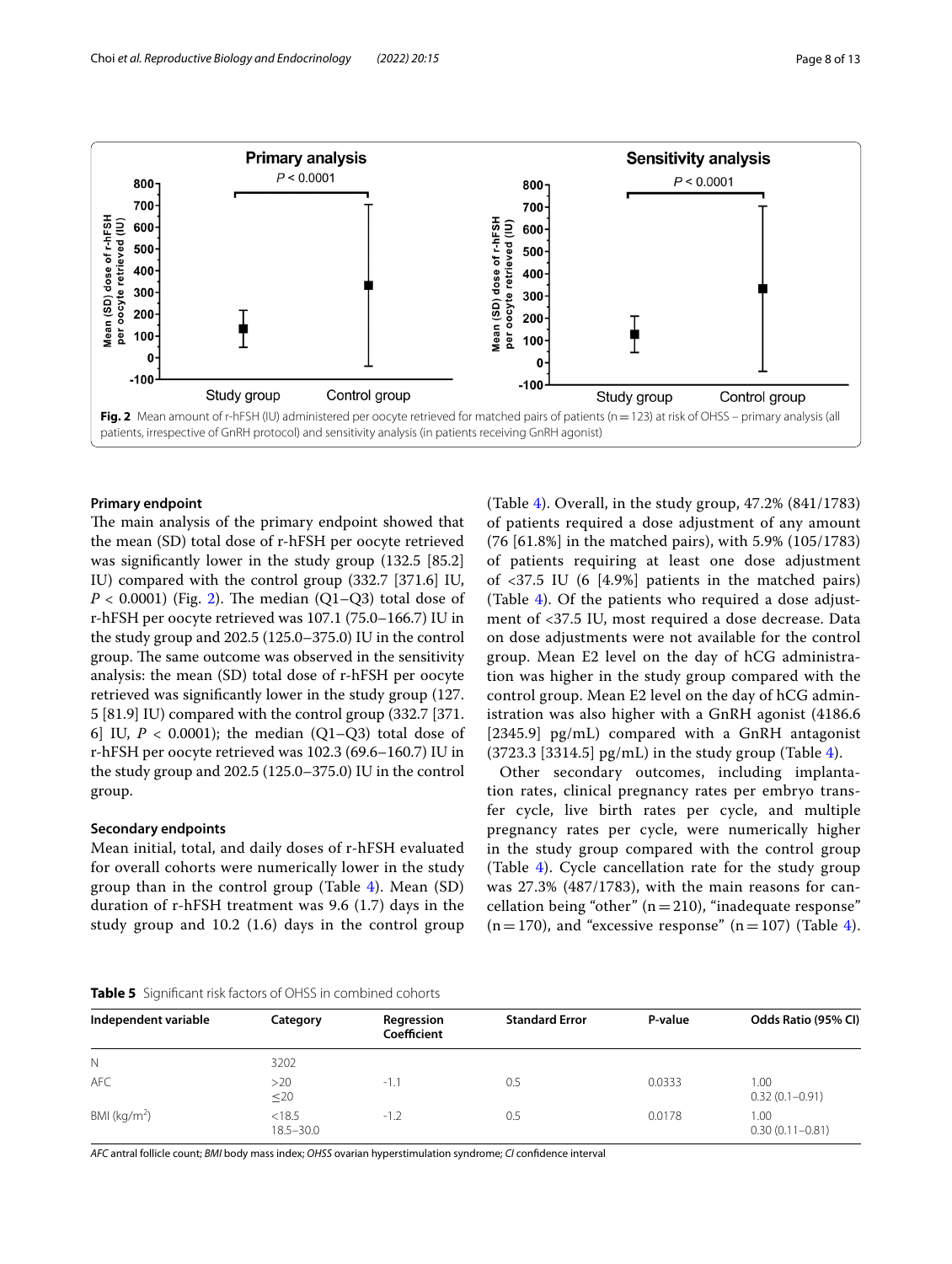

### <span id="page-7-0"></span>**Primary endpoint**

The main analysis of the primary endpoint showed that the mean (SD) total dose of r-hFSH per oocyte retrieved was signifcantly lower in the study group (132.5 [85.2] IU) compared with the control group (332.7 [371.6] IU,  $P < 0.0001$ ) (Fig. [2\)](#page-7-0). The median (Q1–Q3) total dose of r-hFSH per oocyte retrieved was 107.1 (75.0–166.7) IU in the study group and 202.5 (125.0–375.0) IU in the control group. The same outcome was observed in the sensitivity analysis: the mean (SD) total dose of r-hFSH per oocyte retrieved was signifcantly lower in the study group (127. 5 [81.9] IU) compared with the control group (332.7 [371. 6] IU,  $P < 0.0001$ ); the median (Q1–Q3) total dose of r-hFSH per oocyte retrieved was 102.3 (69.6–160.7) IU in the study group and 202.5 (125.0–375.0) IU in the control group.

#### **Secondary endpoints**

Mean initial, total, and daily doses of r-hFSH evaluated for overall cohorts were numerically lower in the study group than in the control group (Table [4\)](#page-6-0). Mean (SD) duration of r-hFSH treatment was 9.6 (1.7) days in the study group and 10.2 (1.6) days in the control group (Table [4\)](#page-6-0). Overall, in the study group, 47.2% (841/1783) of patients required a dose adjustment of any amount (76 [61.8%] in the matched pairs), with 5.9% (105/1783) of patients requiring at least one dose adjustment of <37.5 IU (6 [4.9%] patients in the matched pairs) (Table [4\)](#page-6-0). Of the patients who required a dose adjustment of <37.5 IU, most required a dose decrease. Data on dose adjustments were not available for the control group. Mean E2 level on the day of hCG administration was higher in the study group compared with the control group. Mean E2 level on the day of hCG administration was also higher with a GnRH agonist (4186.6 [2345.9] pg/mL) compared with a GnRH antagonist  $(3723.3 [3314.5]$  pg/mL) in the study group (Table [4\)](#page-6-0).

Other secondary outcomes, including implantation rates, clinical pregnancy rates per embryo transfer cycle, live birth rates per cycle, and multiple pregnancy rates per cycle, were numerically higher in the study group compared with the control group (Table [4](#page-6-0)). Cycle cancellation rate for the study group was 27.3% (487/1783), with the main reasons for cancellation being "other" ( $n=210$ ), "inadequate response"  $(n=170)$ , and "excessive response"  $(n=107)$  (Table [4](#page-6-0)).

#### <span id="page-7-1"></span>**Table 5** Signifcant risk factors of OHSS in combined cohorts

| Independent variable | Category                | Regression<br>Coefficient | <b>Standard Error</b> | P-value | Odds Ratio (95% CI)         |
|----------------------|-------------------------|---------------------------|-----------------------|---------|-----------------------------|
| N                    | 3202                    |                           |                       |         |                             |
| <b>AFC</b>           | >20<br>$\leq 20$        | $-1.1$                    | 0.5                   | 0.0333  | 1.00<br>$0.32(0.1 - 0.91)$  |
| BMI ( $kg/m2$ )      | < 18.5<br>$18.5 - 30.0$ | $-1.2$                    | 0.5                   | 0.0178  | 1.00<br>$0.30(0.11 - 0.81)$ |

*AFC* antral follicle count; *BMI* body mass index; *OHSS* ovarian hyperstimulation syndrome; *CI* confdence interval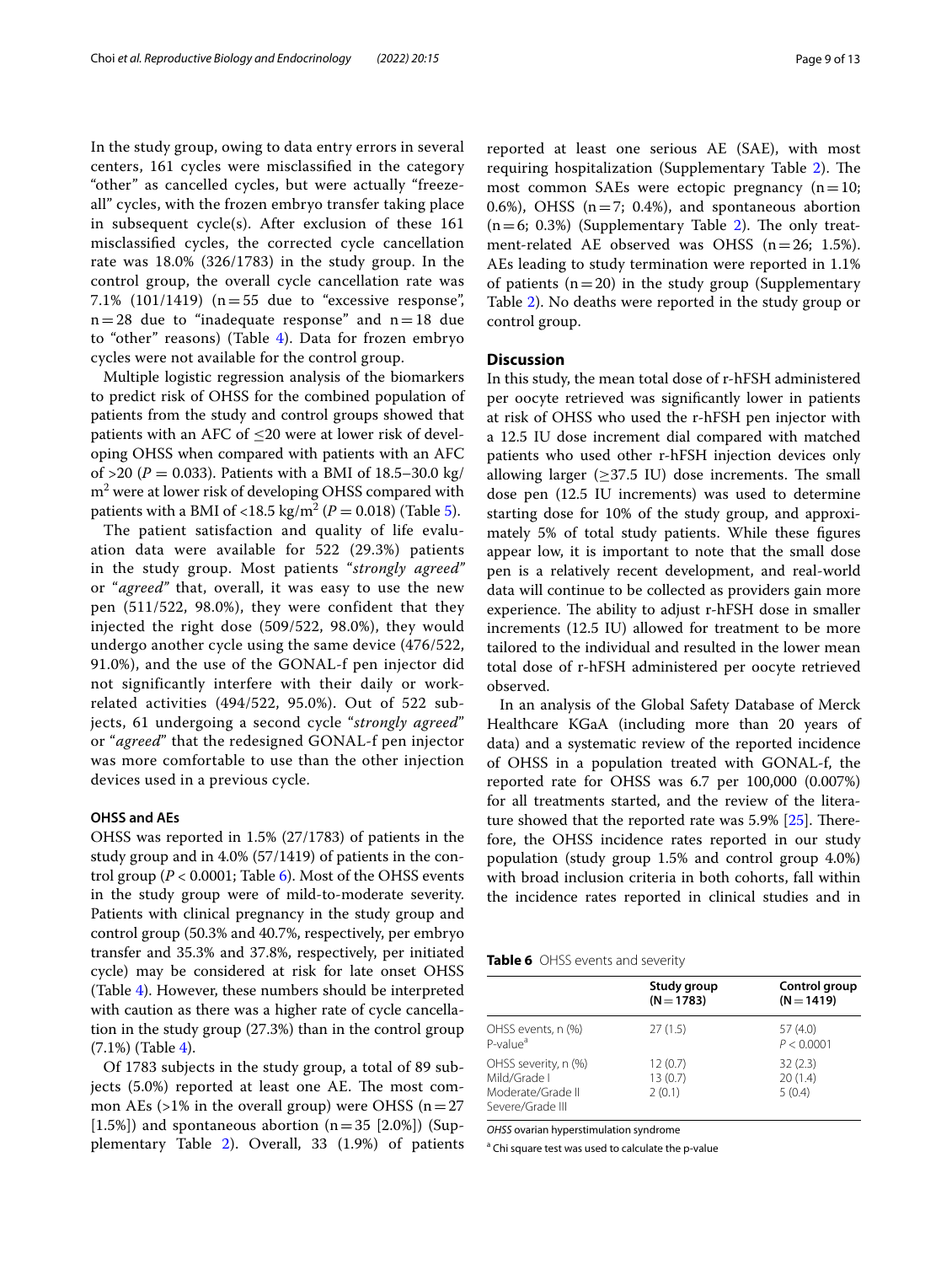In the study group, owing to data entry errors in several centers, 161 cycles were misclassifed in the category "other" as cancelled cycles, but were actually "freezeall" cycles, with the frozen embryo transfer taking place in subsequent cycle(s). After exclusion of these 161 misclassifed cycles, the corrected cycle cancellation rate was 18.0% (326/1783) in the study group. In the control group, the overall cycle cancellation rate was 7.1% (101/1419) ( $n=55$  due to "excessive response",  $n=28$  due to "inadequate response" and  $n=18$  due to "other" reasons) (Table [4\)](#page-6-0). Data for frozen embryo cycles were not available for the control group.

Multiple logistic regression analysis of the biomarkers to predict risk of OHSS for the combined population of patients from the study and control groups showed that patients with an AFC of  $\leq$ 20 were at lower risk of developing OHSS when compared with patients with an AFC of >20 ( $P = 0.033$ ). Patients with a BMI of 18.5–30.0 kg/  $\text{m}^2$  were at lower risk of developing OHSS compared with patients with a BMI of <18.5 kg/m<sup>2</sup> ( $P = 0.018$ ) (Table [5\)](#page-7-1).

The patient satisfaction and quality of life evaluation data were available for 522 (29.3%) patients in the study group. Most patients "*strongly agreed"* or "*agreed"* that, overall, it was easy to use the new pen (511/522, 98.0%), they were confident that they injected the right dose (509/522, 98.0%), they would undergo another cycle using the same device (476/522, 91.0%), and the use of the GONAL-f pen injector did not significantly interfere with their daily or workrelated activities (494/522, 95.0%). Out of 522 subjects, 61 undergoing a second cycle "*strongly agreed*" or "*agreed*" that the redesigned GONAL-f pen injector was more comfortable to use than the other injection devices used in a previous cycle.

### **OHSS and AEs**

OHSS was reported in 1.5% (27/1783) of patients in the study group and in 4.0% (57/1419) of patients in the control group ( $P < 0.0001$ ; Table [6\)](#page-8-0). Most of the OHSS events in the study group were of mild-to-moderate severity. Patients with clinical pregnancy in the study group and control group (50.3% and 40.7%, respectively, per embryo transfer and 35.3% and 37.8%, respectively, per initiated cycle) may be considered at risk for late onset OHSS (Table [4\)](#page-6-0). However, these numbers should be interpreted with caution as there was a higher rate of cycle cancellation in the study group (27.3%) than in the control group  $(7.1\%)$  (Table [4](#page-6-0)).

Of 1783 subjects in the study group, a total of 89 subjects  $(5.0\%)$  reported at least one AE. The most common AEs  $(>1\%$  in the overall group) were OHSS  $(n=27)$ [1.5%]) and spontaneous abortion  $(n=35$  [2.0%]) (Supplementary Table [2\)](#page-11-0). Overall, 33 (1.9%) of patients

reported at least one serious AE (SAE), with most requiring hospitalization (Supplementary Table [2\)](#page-11-0). The most common SAEs were ectopic pregnancy  $(n=10;$ 0.6%), OHSS ( $n=7$ ; 0.4%), and spontaneous abortion  $(n=6; 0.3%)$  (Supplementary Table [2](#page-11-0)). The only treatment-related AE observed was OHSS (n=26; 1.5%). AEs leading to study termination were reported in 1.1% of patients  $(n=20)$  in the study group (Supplementary Table [2\)](#page-11-0). No deaths were reported in the study group or control group.

## **Discussion**

In this study, the mean total dose of r-hFSH administered per oocyte retrieved was signifcantly lower in patients at risk of OHSS who used the r-hFSH pen injector with a 12.5 IU dose increment dial compared with matched patients who used other r-hFSH injection devices only allowing larger  $(\geq)37.5$  IU) dose increments. The small dose pen (12.5 IU increments) was used to determine starting dose for 10% of the study group, and approximately 5% of total study patients. While these fgures appear low, it is important to note that the small dose pen is a relatively recent development, and real-world data will continue to be collected as providers gain more experience. The ability to adjust r-hFSH dose in smaller increments (12.5 IU) allowed for treatment to be more tailored to the individual and resulted in the lower mean total dose of r-hFSH administered per oocyte retrieved observed.

In an analysis of the Global Safety Database of Merck Healthcare KGaA (including more than 20 years of data) and a systematic review of the reported incidence of OHSS in a population treated with GONAL-f, the reported rate for OHSS was 6.7 per 100,000 (0.007%) for all treatments started, and the review of the literature showed that the reported rate was  $5.9\%$  [ $25$ ]. Therefore, the OHSS incidence rates reported in our study population (study group 1.5% and control group 4.0%) with broad inclusion criteria in both cohorts, fall within the incidence rates reported in clinical studies and in

<span id="page-8-0"></span>

| Table 6 OHSS events and severity |  |  |  |  |  |
|----------------------------------|--|--|--|--|--|
|----------------------------------|--|--|--|--|--|

|                                                                               | Study group<br>$(N = 1783)$  | Control group<br>$(N = 1419)$ |
|-------------------------------------------------------------------------------|------------------------------|-------------------------------|
| OHSS events, n (%)<br>P-value <sup>a</sup>                                    | 27(1.5)                      | 57 (4.0)<br>P < 0.0001        |
| OHSS severity, n (%)<br>Mild/Grade I<br>Moderate/Grade II<br>Severe/Grade III | 12(0.7)<br>13(0.7)<br>2(0.1) | 32(2.3)<br>20(1.4)<br>5(0.4)  |

*OHSS* ovarian hyperstimulation syndrome

<sup>a</sup> Chi square test was used to calculate the p-value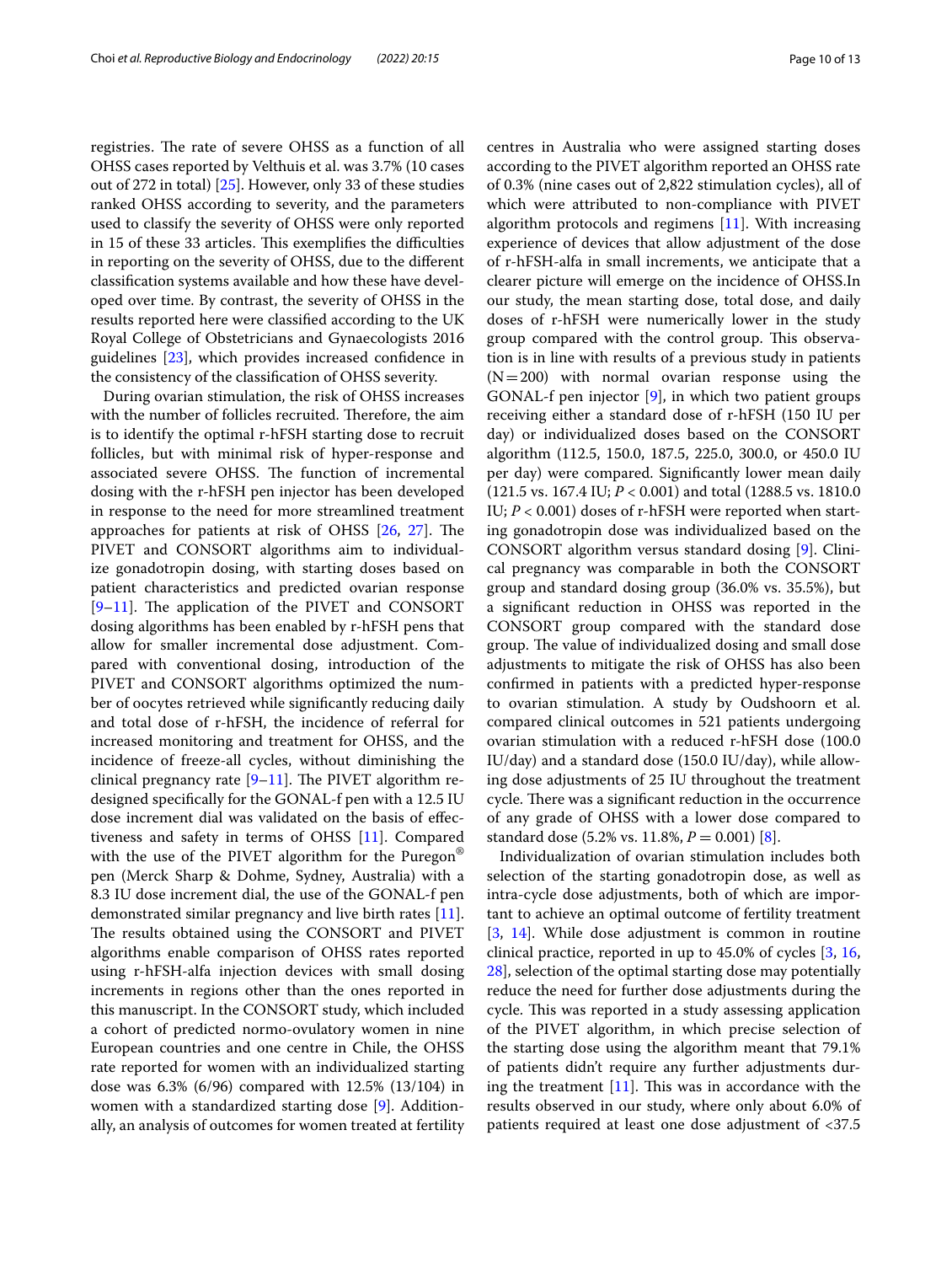registries. The rate of severe OHSS as a function of all OHSS cases reported by Velthuis et al. was 3.7% (10 cases out of 272 in total) [[25\]](#page-12-20). However, only 33 of these studies ranked OHSS according to severity, and the parameters used to classify the severity of OHSS were only reported in 15 of these 33 articles. This exemplifies the difficulties in reporting on the severity of OHSS, due to the diferent classifcation systems available and how these have developed over time. By contrast, the severity of OHSS in the results reported here were classifed according to the UK Royal College of Obstetricians and Gynaecologists 2016 guidelines [\[23\]](#page-12-18), which provides increased confdence in the consistency of the classifcation of OHSS severity.

During ovarian stimulation, the risk of OHSS increases with the number of follicles recruited. Therefore, the aim is to identify the optimal r-hFSH starting dose to recruit follicles, but with minimal risk of hyper-response and associated severe OHSS. The function of incremental dosing with the r-hFSH pen injector has been developed in response to the need for more streamlined treatment approaches for patients at risk of OHSS  $[26, 27]$  $[26, 27]$  $[26, 27]$  $[26, 27]$  $[26, 27]$ . The PIVET and CONSORT algorithms aim to individualize gonadotropin dosing, with starting doses based on patient characteristics and predicted ovarian response  $[9-11]$  $[9-11]$ . The application of the PIVET and CONSORT dosing algorithms has been enabled by r-hFSH pens that allow for smaller incremental dose adjustment. Compared with conventional dosing, introduction of the PIVET and CONSORT algorithms optimized the number of oocytes retrieved while signifcantly reducing daily and total dose of r-hFSH, the incidence of referral for increased monitoring and treatment for OHSS, and the incidence of freeze-all cycles, without diminishing the clinical pregnancy rate  $[9-11]$  $[9-11]$ . The PIVET algorithm redesigned specifcally for the GONAL-f pen with a 12.5 IU dose increment dial was validated on the basis of efectiveness and safety in terms of OHSS [\[11](#page-12-7)]. Compared with the use of the PIVET algorithm for the Puregon<sup>®</sup> pen (Merck Sharp & Dohme, Sydney, Australia) with a 8.3 IU dose increment dial, the use of the GONAL-f pen demonstrated similar pregnancy and live birth rates [\[11](#page-12-7)]. The results obtained using the CONSORT and PIVET algorithms enable comparison of OHSS rates reported using r-hFSH-alfa injection devices with small dosing increments in regions other than the ones reported in this manuscript. In the CONSORT study, which included a cohort of predicted normo-ovulatory women in nine European countries and one centre in Chile, the OHSS rate reported for women with an individualized starting dose was 6.3% (6/96) compared with 12.5% (13/104) in women with a standardized starting dose [[9\]](#page-12-17). Additionally, an analysis of outcomes for women treated at fertility centres in Australia who were assigned starting doses according to the PIVET algorithm reported an OHSS rate of 0.3% (nine cases out of 2,822 stimulation cycles), all of which were attributed to non-compliance with PIVET algorithm protocols and regimens [[11](#page-12-7)]. With increasing experience of devices that allow adjustment of the dose of r-hFSH-alfa in small increments, we anticipate that a clearer picture will emerge on the incidence of OHSS.In our study, the mean starting dose, total dose, and daily doses of r-hFSH were numerically lower in the study group compared with the control group. This observation is in line with results of a previous study in patients  $(N=200)$  with normal ovarian response using the GONAL-f pen injector [[9\]](#page-12-17), in which two patient groups receiving either a standard dose of r-hFSH (150 IU per day) or individualized doses based on the CONSORT algorithm (112.5, 150.0, 187.5, 225.0, 300.0, or 450.0 IU per day) were compared. Signifcantly lower mean daily (121.5 vs. 167.4 IU; *P* < 0.001) and total (1288.5 vs. 1810.0 IU; *P* < 0.001) doses of r-hFSH were reported when starting gonadotropin dose was individualized based on the CONSORT algorithm versus standard dosing [\[9](#page-12-17)]. Clinical pregnancy was comparable in both the CONSORT group and standard dosing group (36.0% vs. 35.5%), but a signifcant reduction in OHSS was reported in the CONSORT group compared with the standard dose group. The value of individualized dosing and small dose adjustments to mitigate the risk of OHSS has also been confrmed in patients with a predicted hyper-response to ovarian stimulation. A study by Oudshoorn et al. compared clinical outcomes in 521 patients undergoing ovarian stimulation with a reduced r-hFSH dose (100.0 IU/day) and a standard dose (150.0 IU/day), while allowing dose adjustments of 25 IU throughout the treatment cycle. There was a significant reduction in the occurrence of any grade of OHSS with a lower dose compared to standard dose  $(5.2\% \text{ vs. } 11.8\%, P = 0.001)$  [\[8](#page-12-6)].

Individualization of ovarian stimulation includes both selection of the starting gonadotropin dose, as well as intra-cycle dose adjustments, both of which are important to achieve an optimal outcome of fertility treatment [[3,](#page-12-2) [14\]](#page-12-10). While dose adjustment is common in routine clinical practice, reported in up to 45.0% of cycles [[3](#page-12-2), [16](#page-12-12), [28\]](#page-12-23), selection of the optimal starting dose may potentially reduce the need for further dose adjustments during the cycle. This was reported in a study assessing application of the PIVET algorithm, in which precise selection of the starting dose using the algorithm meant that 79.1% of patients didn't require any further adjustments during the treatment  $[11]$  $[11]$ . This was in accordance with the results observed in our study, where only about 6.0% of patients required at least one dose adjustment of <37.5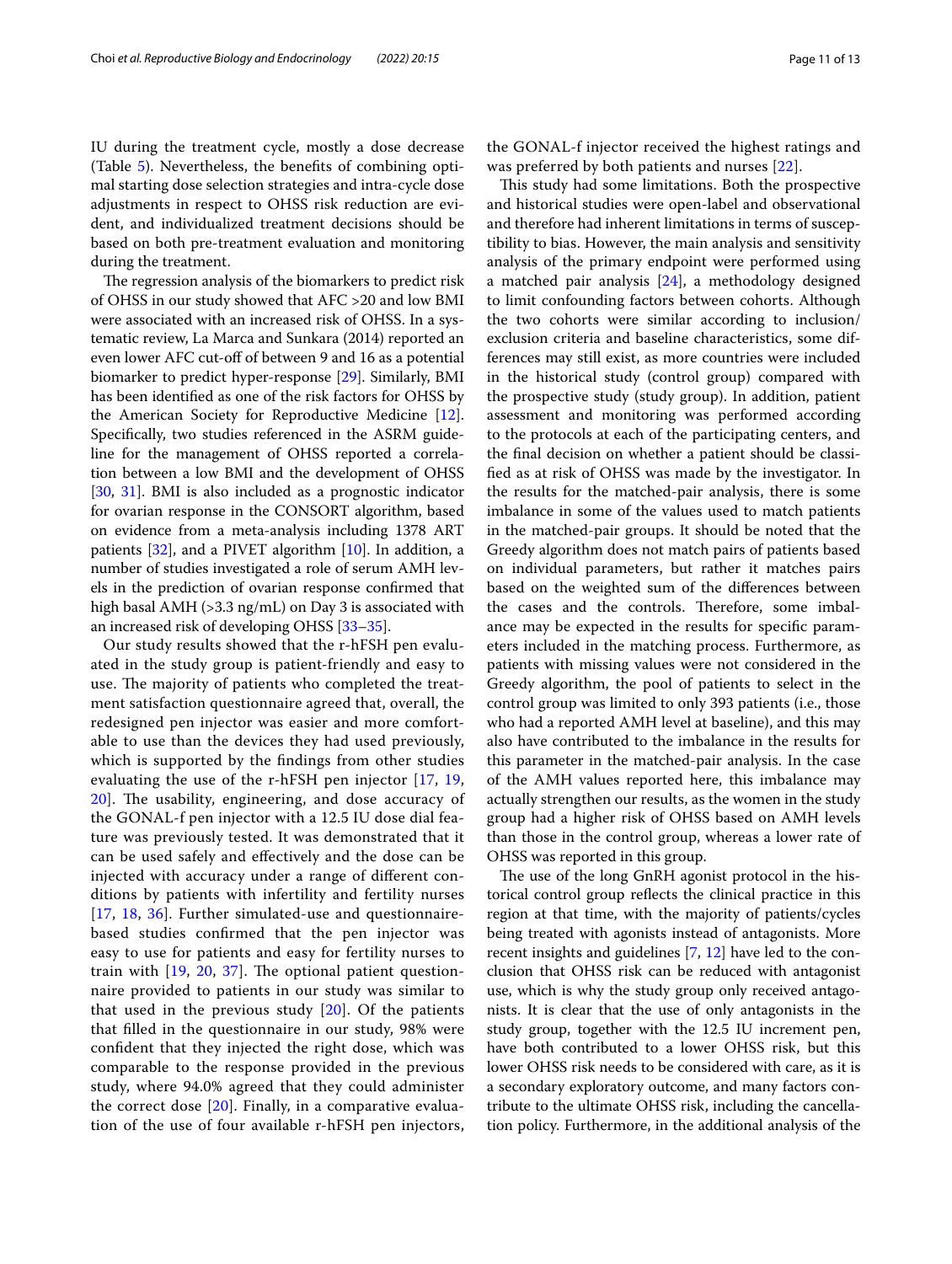IU during the treatment cycle, mostly a dose decrease (Table [5\)](#page-7-1). Nevertheless, the benefts of combining optimal starting dose selection strategies and intra-cycle dose adjustments in respect to OHSS risk reduction are evident, and individualized treatment decisions should be based on both pre-treatment evaluation and monitoring during the treatment.

The regression analysis of the biomarkers to predict risk of OHSS in our study showed that AFC >20 and low BMI were associated with an increased risk of OHSS. In a systematic review, La Marca and Sunkara (2014) reported an even lower AFC cut-off of between 9 and 16 as a potential biomarker to predict hyper-response [[29](#page-12-24)]. Similarly, BMI has been identifed as one of the risk factors for OHSS by the American Society for Reproductive Medicine [\[12](#page-12-8)]. Specifcally, two studies referenced in the ASRM guideline for the management of OHSS reported a correlation between a low BMI and the development of OHSS [[30,](#page-12-25) [31](#page-12-26)]. BMI is also included as a prognostic indicator for ovarian response in the CONSORT algorithm, based on evidence from a meta-analysis including 1378 ART patients [\[32](#page-12-27)], and a PIVET algorithm [[10](#page-12-28)]. In addition, a number of studies investigated a role of serum AMH levels in the prediction of ovarian response confrmed that high basal AMH (>3.3 ng/mL) on Day 3 is associated with an increased risk of developing OHSS [\[33–](#page-12-29)[35](#page-12-30)].

Our study results showed that the r-hFSH pen evaluated in the study group is patient-friendly and easy to use. The majority of patients who completed the treatment satisfaction questionnaire agreed that, overall, the redesigned pen injector was easier and more comfortable to use than the devices they had used previously, which is supported by the fndings from other studies evaluating the use of the r-hFSH pen injector [[17](#page-12-13), [19](#page-12-15),  $20$ ]. The usability, engineering, and dose accuracy of the GONAL-f pen injector with a 12.5 IU dose dial feature was previously tested. It was demonstrated that it can be used safely and efectively and the dose can be injected with accuracy under a range of diferent conditions by patients with infertility and fertility nurses [[17](#page-12-13), [18](#page-12-14), [36](#page-12-32)]. Further simulated-use and questionnairebased studies confrmed that the pen injector was easy to use for patients and easy for fertility nurses to train with  $[19, 20, 37]$  $[19, 20, 37]$  $[19, 20, 37]$  $[19, 20, 37]$  $[19, 20, 37]$  $[19, 20, 37]$  $[19, 20, 37]$ . The optional patient questionnaire provided to patients in our study was similar to that used in the previous study  $[20]$  $[20]$ . Of the patients that flled in the questionnaire in our study, 98% were confdent that they injected the right dose, which was comparable to the response provided in the previous study, where 94.0% agreed that they could administer the correct dose [[20](#page-12-31)]. Finally, in a comparative evaluation of the use of four available r-hFSH pen injectors, the GONAL-f injector received the highest ratings and was preferred by both patients and nurses [[22\]](#page-12-16).

This study had some limitations. Both the prospective and historical studies were open-label and observational and therefore had inherent limitations in terms of susceptibility to bias. However, the main analysis and sensitivity analysis of the primary endpoint were performed using a matched pair analysis [\[24](#page-12-19)], a methodology designed to limit confounding factors between cohorts. Although the two cohorts were similar according to inclusion/ exclusion criteria and baseline characteristics, some differences may still exist, as more countries were included in the historical study (control group) compared with the prospective study (study group). In addition, patient assessment and monitoring was performed according to the protocols at each of the participating centers, and the fnal decision on whether a patient should be classifed as at risk of OHSS was made by the investigator. In the results for the matched-pair analysis, there is some imbalance in some of the values used to match patients in the matched-pair groups. It should be noted that the Greedy algorithm does not match pairs of patients based on individual parameters, but rather it matches pairs based on the weighted sum of the diferences between the cases and the controls. Therefore, some imbalance may be expected in the results for specifc parameters included in the matching process. Furthermore, as patients with missing values were not considered in the Greedy algorithm, the pool of patients to select in the control group was limited to only 393 patients (i.e., those who had a reported AMH level at baseline), and this may also have contributed to the imbalance in the results for this parameter in the matched-pair analysis. In the case of the AMH values reported here, this imbalance may actually strengthen our results, as the women in the study group had a higher risk of OHSS based on AMH levels than those in the control group, whereas a lower rate of OHSS was reported in this group.

The use of the long GnRH agonist protocol in the historical control group refects the clinical practice in this region at that time, with the majority of patients/cycles being treated with agonists instead of antagonists. More recent insights and guidelines [[7,](#page-12-5) [12](#page-12-8)] have led to the conclusion that OHSS risk can be reduced with antagonist use, which is why the study group only received antagonists. It is clear that the use of only antagonists in the study group, together with the 12.5 IU increment pen, have both contributed to a lower OHSS risk, but this lower OHSS risk needs to be considered with care, as it is a secondary exploratory outcome, and many factors contribute to the ultimate OHSS risk, including the cancellation policy. Furthermore, in the additional analysis of the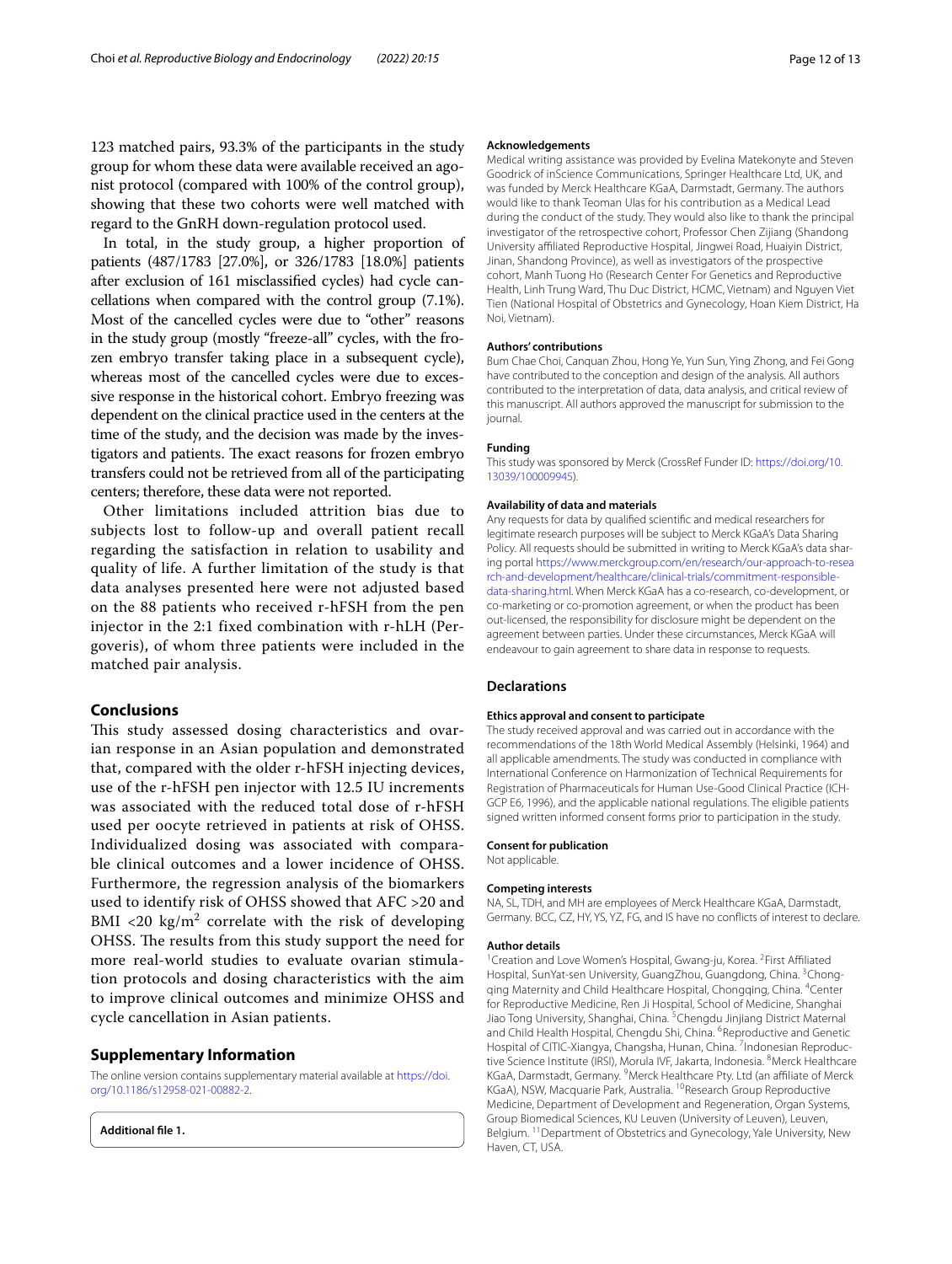123 matched pairs, 93.3% of the participants in the study group for whom these data were available received an agonist protocol (compared with 100% of the control group), showing that these two cohorts were well matched with regard to the GnRH down-regulation protocol used.

In total, in the study group, a higher proportion of patients (487/1783 [27.0%], or 326/1783 [18.0%] patients after exclusion of 161 misclassifed cycles) had cycle cancellations when compared with the control group (7.1%). Most of the cancelled cycles were due to "other" reasons in the study group (mostly "freeze-all" cycles, with the frozen embryo transfer taking place in a subsequent cycle), whereas most of the cancelled cycles were due to excessive response in the historical cohort. Embryo freezing was dependent on the clinical practice used in the centers at the time of the study, and the decision was made by the investigators and patients. The exact reasons for frozen embryo transfers could not be retrieved from all of the participating centers; therefore, these data were not reported.

Other limitations included attrition bias due to subjects lost to follow-up and overall patient recall regarding the satisfaction in relation to usability and quality of life. A further limitation of the study is that data analyses presented here were not adjusted based on the 88 patients who received r-hFSH from the pen injector in the 2:1 fixed combination with r-hLH (Pergoveris), of whom three patients were included in the matched pair analysis.

## **Conclusions**

This study assessed dosing characteristics and ovarian response in an Asian population and demonstrated that, compared with the older r-hFSH injecting devices, use of the r-hFSH pen injector with 12.5 IU increments was associated with the reduced total dose of r-hFSH used per oocyte retrieved in patients at risk of OHSS. Individualized dosing was associated with comparable clinical outcomes and a lower incidence of OHSS. Furthermore, the regression analysis of the biomarkers used to identify risk of OHSS showed that AFC >20 and BMI <20  $\text{kg/m}^2$  correlate with the risk of developing OHSS. The results from this study support the need for more real-world studies to evaluate ovarian stimulation protocols and dosing characteristics with the aim to improve clinical outcomes and minimize OHSS and cycle cancellation in Asian patients.

#### **Supplementary Information**

The online version contains supplementary material available at [https://doi.](https://doi.org/10.1186/s12958-021-00882-2) [org/10.1186/s12958-021-00882-2](https://doi.org/10.1186/s12958-021-00882-2).

<span id="page-11-0"></span>**Additional fle 1.**

#### **Acknowledgements**

Medical writing assistance was provided by Evelina Matekonyte and Steven Goodrick of inScience Communications, Springer Healthcare Ltd, UK, and was funded by Merck Healthcare KGaA, Darmstadt, Germany. The authors would like to thank Teoman Ulas for his contribution as a Medical Lead during the conduct of the study. They would also like to thank the principal investigator of the retrospective cohort, Professor Chen Zijiang (Shandong University afliated Reproductive Hospital, Jingwei Road, Huaiyin District, Jinan, Shandong Province), as well as investigators of the prospective cohort, Manh Tuong Ho (Research Center For Genetics and Reproductive Health, Linh Trung Ward, Thu Duc District, HCMC, Vietnam) and Nguyen Viet Tien (National Hospital of Obstetrics and Gynecology, Hoan Kiem District, Ha Noi, Vietnam).

#### **Authors' contributions**

Bum Chae Choi, Canquan Zhou, Hong Ye, Yun Sun, Ying Zhong, and Fei Gong have contributed to the conception and design of the analysis. All authors contributed to the interpretation of data, data analysis, and critical review of this manuscript. All authors approved the manuscript for submission to the journal.

#### **Funding**

This study was sponsored by Merck (CrossRef Funder ID: [https://doi.org/10.](https://doi.org/10.13039/100009945) [13039/100009945\)](https://doi.org/10.13039/100009945).

#### **Availability of data and materials**

Any requests for data by qualifed scientifc and medical researchers for legitimate research purposes will be subject to Merck KGaA's Data Sharing Policy. All requests should be submitted in writing to Merck KGaA's data sharing portal [https://www.merckgroup.com/en/research/our-approach-to-resea](https://www.merckgroup.com/en/research/our-approach-to-research-and-development/healthcare/clinical-trials/commitment-responsible-data-sharing.html) [rch-and-development/healthcare/clinical-trials/commitment-responsible](https://www.merckgroup.com/en/research/our-approach-to-research-and-development/healthcare/clinical-trials/commitment-responsible-data-sharing.html)[data-sharing.html.](https://www.merckgroup.com/en/research/our-approach-to-research-and-development/healthcare/clinical-trials/commitment-responsible-data-sharing.html) When Merck KGaA has a co-research, co-development, or co-marketing or co-promotion agreement, or when the product has been out-licensed, the responsibility for disclosure might be dependent on the agreement between parties. Under these circumstances, Merck KGaA will endeavour to gain agreement to share data in response to requests.

#### **Declarations**

#### **Ethics approval and consent to participate**

The study received approval and was carried out in accordance with the recommendations of the 18th World Medical Assembly (Helsinki, 1964) and all applicable amendments. The study was conducted in compliance with International Conference on Harmonization of Technical Requirements for Registration of Pharmaceuticals for Human Use-Good Clinical Practice (ICH-GCP E6, 1996), and the applicable national regulations. The eligible patients signed written informed consent forms prior to participation in the study.

#### **Consent for publication**

Not applicable.

#### **Competing interests**

NA, SL, TDH, and MH are employees of Merck Healthcare KGaA, Darmstadt, Germany. BCC, CZ, HY, YS, YZ, FG, and IS have no conficts of interest to declare.

#### **Author details**

Creation and Love Women's Hospital, Gwang-ju, Korea. <sup>2</sup>First Affiliated Hospital, SunYat-sen University, GuangZhou, Guangdong, China. <sup>3</sup>Chongqing Maternity and Child Healthcare Hospital, Chongqing, China. 4Center for Reproductive Medicine, Ren Ji Hospital, School of Medicine, Shanghai Jiao Tong University, Shanghai, China. <sup>5</sup>Chengdu Jinjiang District Maternal and Child Health Hospital, Chengdu Shi, China. <sup>6</sup>Reproductive and Genetic Hospital of CITIC-Xiangya, Changsha, Hunan, China. <sup>7</sup>Indonesian Reproductive Science Institute (IRSI), Morula IVF, Jakarta, Indonesia. <sup>8</sup>Merck Healthcare KGaA, Darmstadt, Germany. 9Merck Healthcare Pty. Ltd (an afliate of Merck KGaA), NSW, Macquarie Park, Australia. <sup>10</sup>Research Group Reproductive Medicine, Department of Development and Regeneration, Organ Systems, Group Biomedical Sciences, KU Leuven (University of Leuven), Leuven, Belgium. 11Department of Obstetrics and Gynecology, Yale University, New Haven, CT, USA.